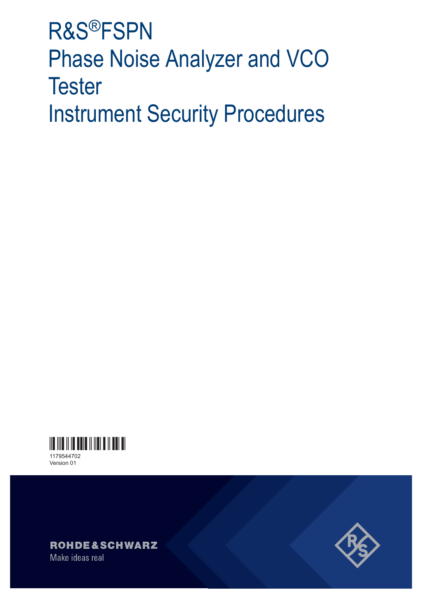# **R&S®FSPN Phase Noise Analyzer and VCO Tester Instrument Security Procedures**



Version 01





Make ideas real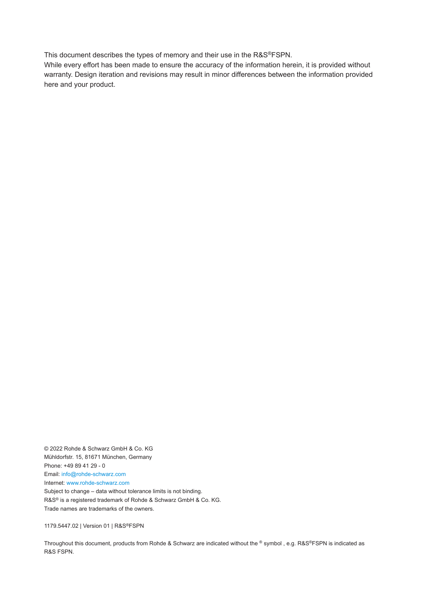This document describes the types of memory and their use in the R&S®FSPN.

While every effort has been made to ensure the accuracy of the information herein, it is provided without warranty. Design iteration and revisions may result in minor differences between the information provided here and your product.

© 2022 Rohde & Schwarz GmbH & Co. KG Mühldorfstr. 15, 81671 München, Germany Phone: +49 89 41 29 - 0 Email: [info@rohde-schwarz.com](mailto:info@rohde-schwarz.com) Internet: [www.rohde-schwarz.com](http://www.rohde-schwarz.com) Subject to change – data without tolerance limits is not binding. R&S® is a registered trademark of Rohde & Schwarz GmbH & Co. KG. Trade names are trademarks of the owners.

1179.5447.02 | Version 01 | R&S®FSPN

Throughout this document, products from Rohde & Schwarz are indicated without the ® symbol, e.g. R&S®FSPN is indicated as R&S FSPN.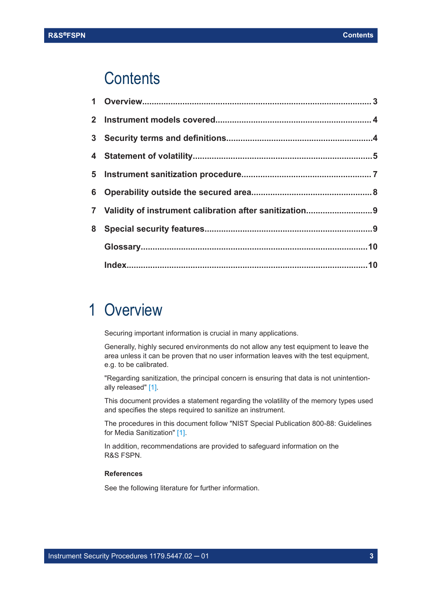## <span id="page-2-0"></span>**Contents**

| 7 Validity of instrument calibration after sanitization9 |  |
|----------------------------------------------------------|--|
|                                                          |  |
|                                                          |  |
|                                                          |  |

## 1 Overview

Securing important information is crucial in many applications.

Generally, highly secured environments do not allow any test equipment to leave the area unless it can be proven that no user information leaves with the test equipment, e.g. to be calibrated.

"Regarding sanitization, the principal concern is ensuring that data is not unintentionally released" [\[1\].](#page-3-0)

This document provides a statement regarding the volatility of the memory types used and specifies the steps required to sanitize an instrument.

The procedures in this document follow "NIST Special Publication 800-88: Guidelines for Media Sanitization" [\[1\]](#page-3-0).

In addition, recommendations are provided to safeguard information on the R&S FSPN.

### **References**

See the following literature for further information.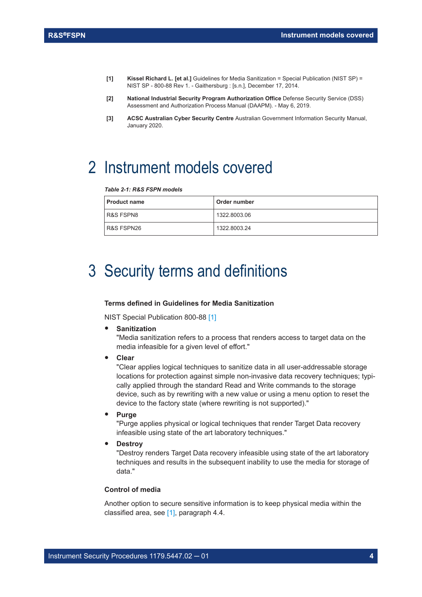- <span id="page-3-0"></span>**[1] Kissel Richard L. [et al.]** Guidelines for Media Sanitization = Special Publication (NIST SP) = NIST SP - 800-88 Rev 1. - Gaithersburg : [s.n.], December 17, 2014.
- **[2] National Industrial Security Program Authorization Office** Defense Security Service (DSS) Assessment and Authorization Process Manual (DAAPM). - May 6, 2019.
- **[3] ACSC Australian Cyber Security Centre** Australian Government Information Security Manual, January 2020.

## 2 Instrument models covered

#### *Table 2-1: R&S FSPN models*

| <b>Product name</b> | Order number |
|---------------------|--------------|
| R&S FSPN8           | 1322.8003.06 |
| R&S FSPN26          | 1322.8003.24 |

## 3 Security terms and definitions

#### **Terms defined in Guidelines for Media Sanitization**

NIST Special Publication 800-88 [1]

● **Sanitization**

"Media sanitization refers to a process that renders access to target data on the media infeasible for a given level of effort."

● **Clear**

"Clear applies logical techniques to sanitize data in all user-addressable storage locations for protection against simple non-invasive data recovery techniques; typically applied through the standard Read and Write commands to the storage device, such as by rewriting with a new value or using a menu option to reset the device to the factory state (where rewriting is not supported)."

● **Purge**

"Purge applies physical or logical techniques that render Target Data recovery infeasible using state of the art laboratory techniques."

**Destroy** 

"Destroy renders Target Data recovery infeasible using state of the art laboratory techniques and results in the subsequent inability to use the media for storage of data."

#### **Control of media**

Another option to secure sensitive information is to keep physical media within the classified area, see [1], paragraph 4.4.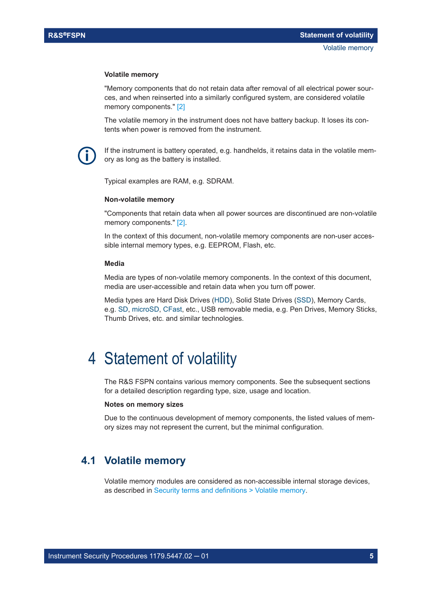#### <span id="page-4-0"></span>**Volatile memory**

"Memory components that do not retain data after removal of all electrical power sources, and when reinserted into a similarly configured system, are considered volatile memory components." [\[2\]](#page-3-0)

The volatile memory in the instrument does not have battery backup. It loses its contents when power is removed from the instrument.

If the instrument is battery operated, e.g. handhelds, it retains data in the volatile memory as long as the battery is installed.

Typical examples are RAM, e.g. SDRAM.

### **Non-volatile memory**

"Components that retain data when all power sources are discontinued are non-volatile memory components." [\[2\].](#page-3-0)

In the context of this document, non-volatile memory components are non-user accessible internal memory types, e.g. EEPROM, Flash, etc.

#### **Media**

Media are types of non-volatile memory components. In the context of this document, media are user-accessible and retain data when you turn off power.

Media types are Hard Disk Drives [\(HDD](#page-9-0)), Solid State Drives ([SSD](#page-9-0)), Memory Cards, e.g. [SD, microSD, CFast,](#page-9-0) etc., USB removable media, e.g. Pen Drives, Memory Sticks, Thumb Drives, etc. and similar technologies.

## 4 Statement of volatility

The R&S FSPN contains various memory components. See the subsequent sections for a detailed description regarding type, size, usage and location.

#### **Notes on memory sizes**

Due to the continuous development of memory components, the listed values of memory sizes may not represent the current, but the minimal configuration.

## **4.1 Volatile memory**

Volatile memory modules are considered as non-accessible internal storage devices, as described in Security terms and definitions > Volatile memory.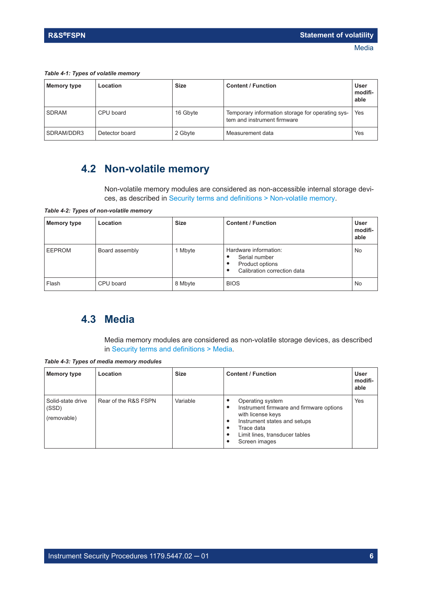#### <span id="page-5-0"></span>*Table 4-1: Types of volatile memory*

| Memory type  | Location       | <b>Size</b> | <b>Content / Function</b>                                                       | <b>User</b><br>modifi-<br>able |
|--------------|----------------|-------------|---------------------------------------------------------------------------------|--------------------------------|
| <b>SDRAM</b> | CPU board      | 16 Gbyte    | Temporary information storage for operating sys-<br>tem and instrument firmware | Yes                            |
| SDRAM/DDR3   | Detector board | 2 Gbyte     | Measurement data                                                                | Yes                            |

## **4.2 Non-volatile memory**

Non-volatile memory modules are considered as non-accessible internal storage devices, as described in [Security terms and definitions > Non-volatile memory.](#page-4-0)

*Table 4-2: Types of non-volatile memory*

| <b>Memory type</b> | Location       | <b>Size</b> | <b>Content / Function</b>                                                                     | <b>User</b><br>modifi-<br>able |
|--------------------|----------------|-------------|-----------------------------------------------------------------------------------------------|--------------------------------|
| <b>EEPROM</b>      | Board assembly | 1 Mbyte     | Hardware information:<br>Serial number<br>Product options<br>٠<br>Calibration correction data | No                             |
| Flash              | CPU board      | 8 Mbyte     | <b>BIOS</b>                                                                                   | No                             |

## **4.3 Media**

Media memory modules are considered as non-volatile storage devices, as described in [Security terms and definitions > Media.](#page-4-0)

*Table 4-3: Types of media memory modules*

| Memory type                               | Location             | <b>Size</b> | <b>Content / Function</b>                                                                                                                                                               | <b>User</b><br>modifi-<br>able |
|-------------------------------------------|----------------------|-------------|-----------------------------------------------------------------------------------------------------------------------------------------------------------------------------------------|--------------------------------|
| Solid-state drive<br>(SSD)<br>(removable) | Rear of the R&S FSPN | Variable    | Operating system<br>Instrument firmware and firmware options<br>٠<br>with license keys<br>Instrument states and setups<br>Trace data<br>Limit lines, transducer tables<br>Screen images | Yes                            |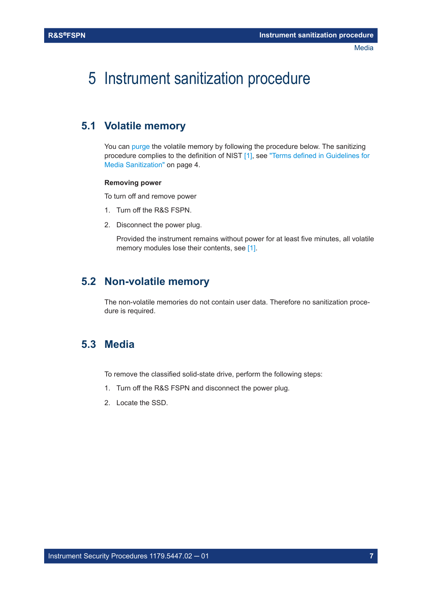<span id="page-6-0"></span>5 Instrument sanitization procedure

## **5.1 Volatile memory**

You can [purge](#page-3-0) the volatile memory by following the procedure below. The sanitizing procedure complies to the definition of NIST [\[1\],](#page-3-0) see ["Terms defined in Guidelines for](#page-3-0) [Media Sanitization"](#page-3-0) on page 4.

### **Removing power**

To turn off and remove power

- 1. Turn off the R&S FSPN.
- 2. Disconnect the power plug.

Provided the instrument remains without power for at least five minutes, all volatile memory modules lose their contents, see [\[1\].](#page-3-0)

## **5.2 Non-volatile memory**

The non-volatile memories do not contain user data. Therefore no sanitization procedure is required.

## **5.3 Media**

To remove the classified solid-state drive, perform the following steps:

- 1. Turn off the R&S FSPN and disconnect the power plug.
- 2. Locate the SSD.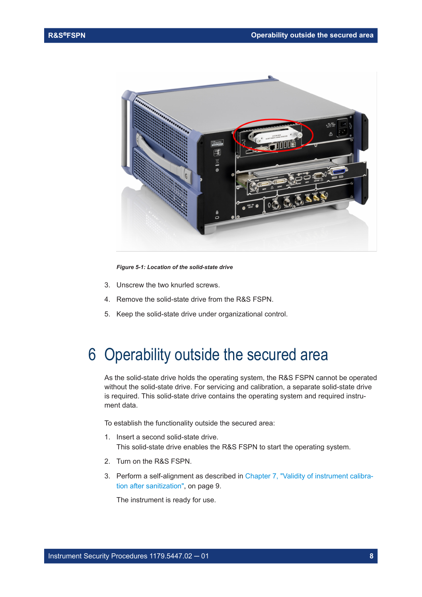<span id="page-7-0"></span>

*Figure 5-1: Location of the solid-state drive*

- 3. Unscrew the two knurled screws.
- 4. Remove the solid-state drive from the R&S FSPN.
- 5. Keep the solid-state drive under organizational control.

## 6 Operability outside the secured area

As the solid-state drive holds the operating system, the R&S FSPN cannot be operated without the solid-state drive. For servicing and calibration, a separate solid-state drive is required. This solid-state drive contains the operating system and required instrument data.

To establish the functionality outside the secured area:

- 1. Insert a second solid-state drive. This solid-state drive enables the R&S FSPN to start the operating system.
- 2. Turn on the R&S FSPN.
- 3. Perform a self-alignment as described in [Chapter 7, "Validity of instrument calibra](#page-8-0)[tion after sanitization", on page 9.](#page-8-0)

The instrument is ready for use.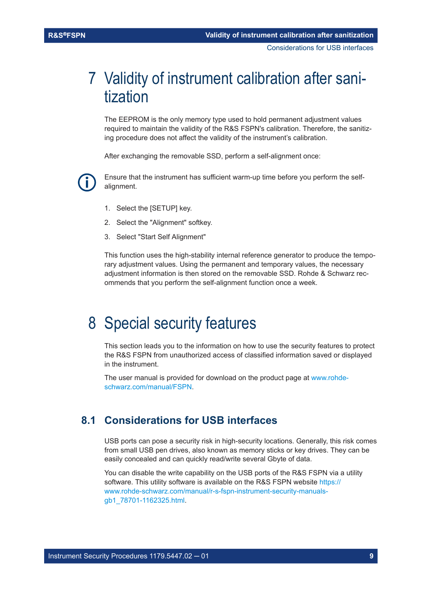## <span id="page-8-0"></span>7 Validity of instrument calibration after sanitization

The EEPROM is the only memory type used to hold permanent adjustment values required to maintain the validity of the R&S FSPN's calibration. Therefore, the sanitizing procedure does not affect the validity of the instrument's calibration.

After exchanging the removable SSD, perform a self-alignment once:

Ensure that the instrument has sufficient warm-up time before you perform the selfalignment.

- 1. Select the [SETUP] key.
- 2. Select the "Alignment" softkey.
- 3. Select "Start Self Alignment"

This function uses the high-stability internal reference generator to produce the temporary adjustment values. Using the permanent and temporary values, the necessary adjustment information is then stored on the removable SSD. Rohde & Schwarz recommends that you perform the self-alignment function once a week.

## 8 Special security features

This section leads you to the information on how to use the security features to protect the R&S FSPN from unauthorized access of classified information saved or displayed in the instrument.

The user manual is provided for download on the product page at [www.rohde](http://www.rohde-schwarz.com/manual/FSPN)[schwarz.com/manual/FSPN.](http://www.rohde-schwarz.com/manual/FSPN)

## **8.1 Considerations for USB interfaces**

USB ports can pose a security risk in high-security locations. Generally, this risk comes from small USB pen drives, also known as memory sticks or key drives. They can be easily concealed and can quickly read/write several Gbyte of data.

You can disable the write capability on the USB ports of the R&S FSPN via a utility software. This utility software is available on the R&S FSPN website [https://](https://www.rohde-schwarz.com/manual/r-s-fspn-instrument-security-manuals-gb1_78701-1162325.html) [www.rohde-schwarz.com/manual/r-s-fspn-instrument-security-manuals](https://www.rohde-schwarz.com/manual/r-s-fspn-instrument-security-manuals-gb1_78701-1162325.html)[gb1\\_78701-1162325.html.](https://www.rohde-schwarz.com/manual/r-s-fspn-instrument-security-manuals-gb1_78701-1162325.html)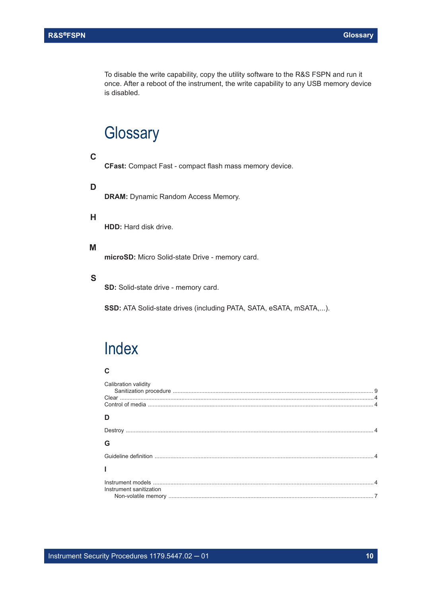<span id="page-9-0"></span>To disable the write capability, copy the utility software to the R&S FSPN and run it once. After a reboot of the instrument, the write capability to any USB memory device is disabled.

## **Glossary**

### **C**

**CFast:** Compact Fast - compact flash mass memory device.

### **D**

**DRAM: Dynamic Random Access Memory.** 

### **H**

**HDD:** Hard disk drive.

### **M**

**microSD:** Micro Solid-state Drive - memory card.

### **S**

**SD:** Solid-state drive - memory card.

**SSD:** ATA Solid-state drives (including PATA, SATA, eSATA, mSATA,...).

## Index

### **C**

| Calibration validity    |  |
|-------------------------|--|
|                         |  |
| D                       |  |
|                         |  |
| G                       |  |
|                         |  |
|                         |  |
| Instrument sanitization |  |
|                         |  |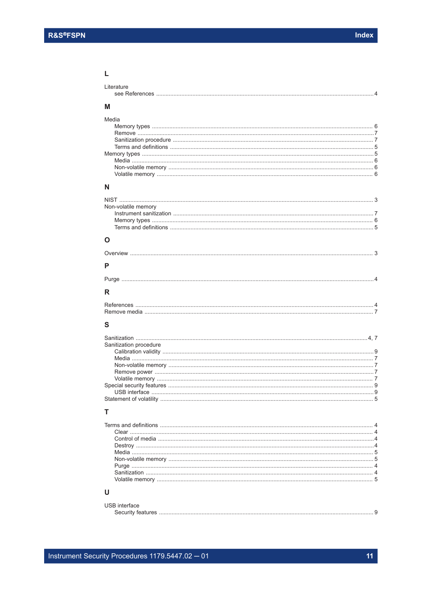## $\mathsf{L}% _{0}\left( \mathsf{L}_{0}\right) ^{\ast }=\mathsf{L}_{0}\left( \mathsf{L}_{0}\right) ^{\ast }$

| Literature             |
|------------------------|
| M                      |
| Media                  |
| N                      |
| Non-volatile memory    |
| O                      |
| P                      |
|                        |
| R                      |
|                        |
| S                      |
| Sanitization procedure |

#### $\mathsf{T}$

### $\cup$